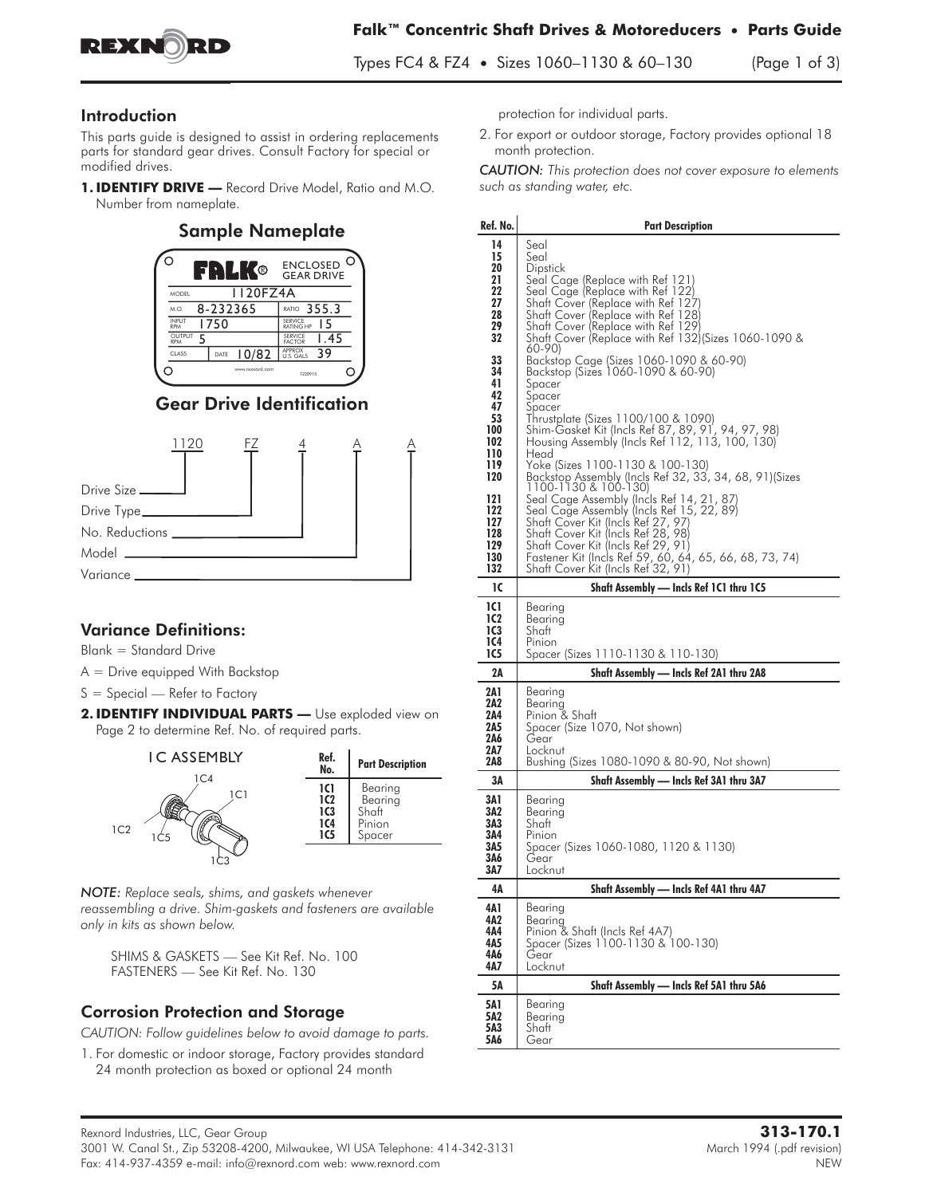

#### Introduction

This parts guide is designed to assist in ordering replacements parts for standard gear drives. Consult Factory for special or modified drives.

1. **IDENTIFY DRIVE** - Record Drive Model, Ratio and M.O. Number from nameplate.

#### Sample Nameplate ്റ **B** ENCLOSED<br>GEAR DRIVE 1120FZ4A MODEL RATIO 355.3  $M.0.$  8-232365  $\overline{1750}$ **1750** SERVICE **15** INPUT  $\overline{5}$   $\overline{5}$   $\overline{5}$   $\overline{5}$   $\overline{5}$   $\overline{5}$   $\overline{5}$   $\overline{5}$   $\overline{1}$   $\overline{5}$   $\overline{4}$   $\overline{5}$ OUTPUT SERVICE FACTOR RPM CLASS DATE  $10/82$   $\frac{\text{APPROX}}{\text{U.S. GALS}}$  39 U.S. GALS Q  $\overline{C}$ www.rexnord.com 1220915

# Gear Drive Identification



### **Variance Definitions:**

**Blank = Standard Drive**

**A = Drive equipped With Backstop**

**S = Special — Refer to Factory**

2. **IDENTIFY INDIVIDUAL PARTS** - Use exploded view on Page 2 to determine Ref. No. of required parts.



*NOTE: Replace seals, shims, and gaskets whenever reassembling a drive. Shim-gaskets and fasteners are available only in kits as shown below.*

**SHIMS & GASKETS — See Kit Ref. No. 100 FASTENERS — See Kit Ref. No. 130**

## **Corrosion Protection and Storage**

*CAUTION: Follow guidelines below to avoid damage to parts.*

**1. For domestic or indoor storage, Factory provides standard 24 month protection as boxed or optional 24 month**

protection for individual parts.

**2. For export or outdoor storage, Factory provides optional 18 month protection.**

*CAUTION: This protection does not cover exposure to elements such as standing water, etc.*

| Ref. No.                                                                                                             | <b>Part Description</b>                                                                                                                                                                                                                                                                                                                                                                                                                                                                                                                                                                                                                                                                               |
|----------------------------------------------------------------------------------------------------------------------|-------------------------------------------------------------------------------------------------------------------------------------------------------------------------------------------------------------------------------------------------------------------------------------------------------------------------------------------------------------------------------------------------------------------------------------------------------------------------------------------------------------------------------------------------------------------------------------------------------------------------------------------------------------------------------------------------------|
| 14                                                                                                                   | Seal                                                                                                                                                                                                                                                                                                                                                                                                                                                                                                                                                                                                                                                                                                  |
| 15<br>20<br>21<br>22<br>27<br>28<br>29<br>32                                                                         | Seal<br>Dipstick<br>Seal Cage (Replace with Ref 121)<br>Seal Cage (Replace with Ref 122)<br>Shaft Cover (Replace with Ref 127)<br>Shaft Cover (Replace with Ref 128)<br>Shaft Cover (Replace with Ref 129)<br>Shaft Cover (Replace with Ref 132) (Sizes 1060-1090 &<br>60-90)                                                                                                                                                                                                                                                                                                                                                                                                                         |
| 33<br>34<br>41<br>42<br>47<br>53<br>100<br>102<br>110<br>119<br>120<br>121<br>122<br>127<br>128<br>129<br>130<br>132 | Backstop Cage (Sizes 1060-1090 & 60-90)<br>Backstop (Sizes 1060-1090 & 60-90)<br>Spacer<br>Spacer<br>Spacer<br>Thrustplate (Sizes 1100/100 & 1090)<br>Shim-Gasket Kit (Incls Ref 87, 89, 91, 94, 97, 98)<br>Housing Assembly (Incls Ref 112, 113, 100, 130)<br>Head<br>Yoke (Sizes 1100-1130 & 100-130)<br>Backstop Assembly (Incls Ref 32, 33, 34, 68, 91)(Sizes<br>1100-1130 & 100-130)<br>Seal Cage Assembly (Incls Ref 14, 21, 87<br>Seal Cage Assembly (Incls Ref 15, 22, 89)<br>Shaft Cover Kit (Incls Ref 27, 97)<br>Shaft Cover Kit (Incls Ref 28, 98)<br>Shaft Cover Kit (Incls Ref 29, 91)<br>Fastener Kit (Incls Ref 59, 60, 64, 65, 66, 68, 73, 74)<br>Shaft Cover Kit (Incls Ref 32, 91) |
| ıc                                                                                                                   | Shaft Assembly - Incls Ref 1C1 thru 1C5                                                                                                                                                                                                                                                                                                                                                                                                                                                                                                                                                                                                                                                               |
| 1C1<br>1C2<br>1C3<br>1C4<br>1C5                                                                                      | Bearing<br>Bearing<br>Shaft<br>Pinion<br>Spacer (Sizes 1110-1130 & 110-130)                                                                                                                                                                                                                                                                                                                                                                                                                                                                                                                                                                                                                           |
| 2A                                                                                                                   | Shaft Assembly — Incls Ref 2A1 thru 2A8                                                                                                                                                                                                                                                                                                                                                                                                                                                                                                                                                                                                                                                               |
| 2A 1<br>2A2<br>2A4<br>2A5<br>2A6<br>2A7<br>2A8                                                                       | Bearing<br>Bearing<br>Pinion & Shaft<br>Spacer (Size 1070, Not shown)<br>Gear<br>Locknut<br>Bushing (Sizes 1080-1090 & 80-90, Not shown)                                                                                                                                                                                                                                                                                                                                                                                                                                                                                                                                                              |
| 3Α                                                                                                                   | Shaft Assembly — Incls Ref 3A1 thru 3A7                                                                                                                                                                                                                                                                                                                                                                                                                                                                                                                                                                                                                                                               |
| 3A1<br>3A2<br>3A3<br>3A4<br>3A5<br>3A6<br>3A7                                                                        | Bearing<br>Bearing<br>Shatt<br>Pinion<br>Spacer (Sizes 1060-1080, 1120 & 1130)<br>Gear<br>Locknut                                                                                                                                                                                                                                                                                                                                                                                                                                                                                                                                                                                                     |
| 4Α                                                                                                                   | Shaft Assembly .<br>- Incls Ref 4A1 thru 4A7                                                                                                                                                                                                                                                                                                                                                                                                                                                                                                                                                                                                                                                          |
| 4A 1<br>4A2<br>4A4<br>4A5<br>4A6<br>4A7                                                                              | Bearing<br>Bearing<br>Pinion & Shaft (Incls Ref 4A7)<br>Spacer (Sizes 1100-1130 & 100-130)<br>Gear<br>Locknut                                                                                                                                                                                                                                                                                                                                                                                                                                                                                                                                                                                         |
| 5Α                                                                                                                   | Shaft Assembly - Incls Ref 5A1 thru 5A6                                                                                                                                                                                                                                                                                                                                                                                                                                                                                                                                                                                                                                                               |
| 5A1<br>5A2<br>5A3<br>5A6                                                                                             | Bearing<br>Bearing<br>Shaft<br>Gear                                                                                                                                                                                                                                                                                                                                                                                                                                                                                                                                                                                                                                                                   |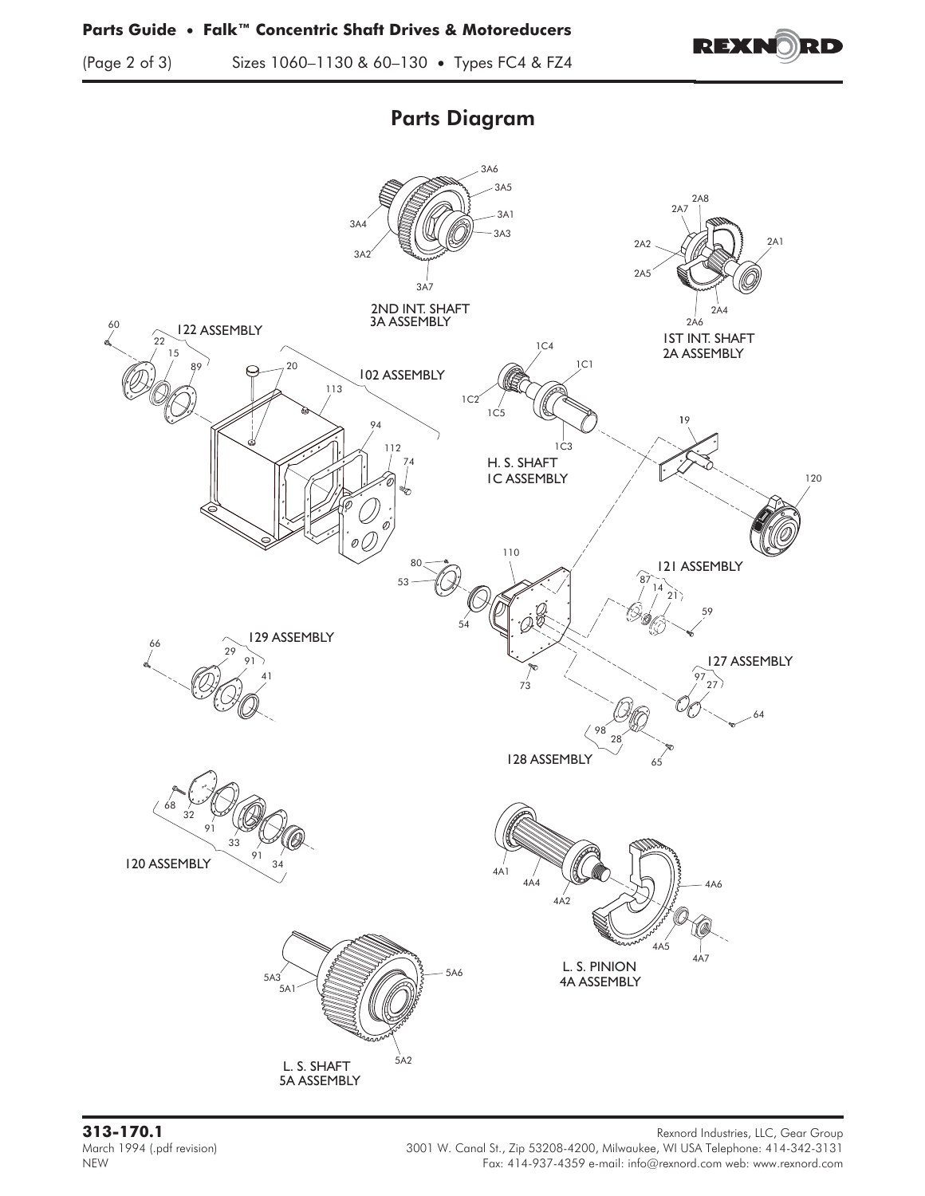

(Page 2 of 3) Sizes 1060–1130 & 60–130 • Types FC4 & FZ4

# Parts Diagram



**313-170.1** Rexnord Industries, LLC, Gear Group March 1994 (.pdf revision) 3001 W. Canal St., Zip 53208-4200, Milwaukee, WI USA Telephone: 414-342-3131 MEW<br>Fax: 414-937-4359 e-mail: info@rexnord.com web: www.rexnord.com Fax: 414-937-4359 e-mail: info@rexnord.com web: www.rexnord.com